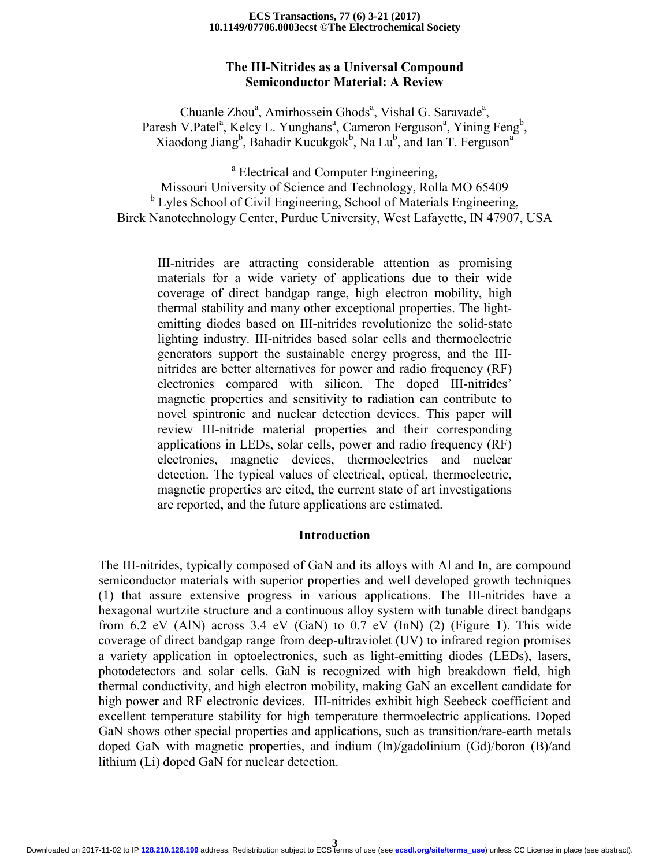#### **10.1149/07706.0003ecst ©The Electrochemical Society ECS Transactions, 77 (6) 3-21 (2017)**

# **The III-Nitrides as a Universal Compound Semiconductor Material: A Review**

Chuanle Zhou<sup>a</sup>, Amirhossein Ghods<sup>a</sup>, Vishal G. Saravade<sup>a</sup>, Paresh V.Patel<sup>a</sup>, Kelcy L. Yunghans<sup>a</sup>, Cameron Ferguson<sup>a</sup>, Yining Feng<sup>b</sup>, Xiaodong Jiang<sup>b</sup>, Bahadir Kucukgok<sup>b</sup>, Na Lu<sup>b</sup>, and Ian T. Ferguson<sup>a</sup>

<sup>a</sup> Electrical and Computer Engineering,

Missouri University of Science and Technology, Rolla MO 65409 <sup>b</sup> Lyles School of Civil Engineering, School of Materials Engineering, Birck Nanotechnology Center, Purdue University, West Lafayette, IN 47907, USA

III-nitrides are attracting considerable attention as promising materials for a wide variety of applications due to their wide coverage of direct bandgap range, high electron mobility, high thermal stability and many other exceptional properties. The lightemitting diodes based on III-nitrides revolutionize the solid-state lighting industry. III-nitrides based solar cells and thermoelectric generators support the sustainable energy progress, and the IIInitrides are better alternatives for power and radio frequency (RF) electronics compared with silicon. The doped III-nitrides' magnetic properties and sensitivity to radiation can contribute to novel spintronic and nuclear detection devices. This paper will review III-nitride material properties and their corresponding applications in LEDs, solar cells, power and radio frequency (RF) electronics, magnetic devices, thermoelectrics and nuclear detection. The typical values of electrical, optical, thermoelectric, magnetic properties are cited, the current state of art investigations are reported, and the future applications are estimated.

## **Introduction**

The III-nitrides, typically composed of GaN and its alloys with Al and In, are compound semiconductor materials with superior properties and well developed growth techniques (1) that assure extensive progress in various applications. The III-nitrides have a hexagonal wurtzite structure and a continuous alloy system with tunable direct bandgaps from 6.2 eV (AlN) across 3.4 eV (GaN) to 0.7 eV (InN) (2) (Figure 1). This wide coverage of direct bandgap range from deep-ultraviolet (UV) to infrared region promises a variety application in optoelectronics, such as light-emitting diodes (LEDs), lasers, photodetectors and solar cells. GaN is recognized with high breakdown field, high thermal conductivity, and high electron mobility, making GaN an excellent candidate for high power and RF electronic devices. III-nitrides exhibit high Seebeck coefficient and excellent temperature stability for high temperature thermoelectric applications. Doped GaN shows other special properties and applications, such as transition/rare-earth metals doped GaN with magnetic properties, and indium (In)/gadolinium (Gd)/boron (B)/and lithium (Li) doped GaN for nuclear detection.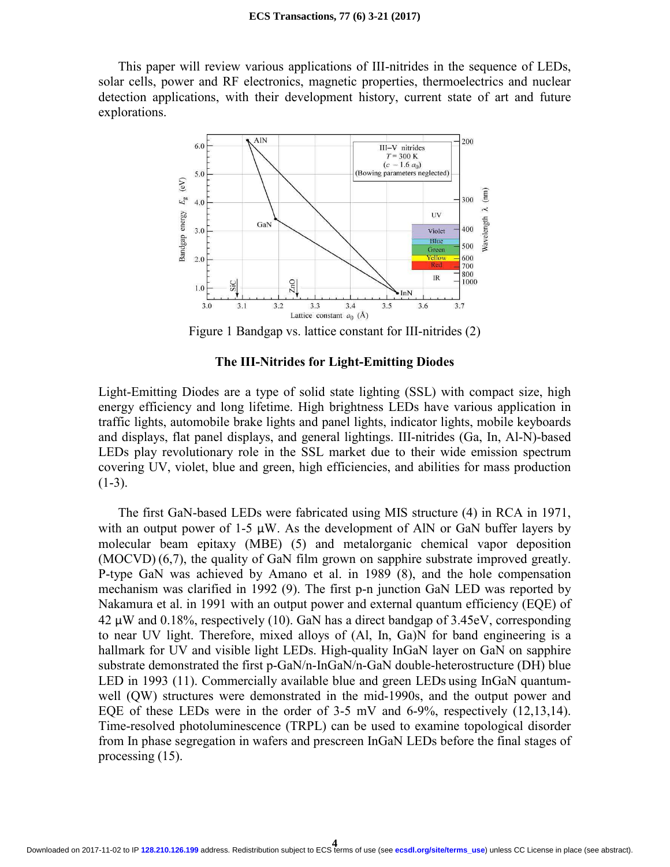This paper will review various applications of III-nitrides in the sequence of LEDs, solar cells, power and RF electronics, magnetic properties, thermoelectrics and nuclear detection applications, with their development history, current state of art and future explorations.



Figure 1 Bandgap vs. lattice constant for III-nitrides (2)

#### **The III-Nitrides for Light-Emitting Diodes**

Light-Emitting Diodes are a type of solid state lighting (SSL) with compact size, high energy efficiency and long lifetime. High brightness LEDs have various application in traffic lights, automobile brake lights and panel lights, indicator lights, mobile keyboards and displays, flat panel displays, and general lightings. III-nitrides (Ga, In, Al-N)-based LEDs play revolutionary role in the SSL market due to their wide emission spectrum covering UV, violet, blue and green, high efficiencies, and abilities for mass production  $(1-3)$ .

The first GaN-based LEDs were fabricated using MIS structure (4) in RCA in 1971, with an output power of 1-5  $\mu$ W. As the development of AlN or GaN buffer layers by molecular beam epitaxy (MBE) (5) and metalorganic chemical vapor deposition (MOCVD) (6,7), the quality of GaN film grown on sapphire substrate improved greatly. P-type GaN was achieved by Amano et al. in 1989 (8), and the hole compensation mechanism was clarified in 1992 (9). The first p-n junction GaN LED was reported by Nakamura et al. in 1991 with an output power and external quantum efficiency (EQE) of 42 μW and 0.18%, respectively (10). GaN has a direct bandgap of 3.45eV, corresponding to near UV light. Therefore, mixed alloys of (Al, In, Ga)N for band engineering is a hallmark for UV and visible light LEDs. High-quality InGaN layer on GaN on sapphire substrate demonstrated the first p-GaN/n-InGaN/n-GaN double-heterostructure (DH) blue LED in 1993 (11). Commercially available blue and green LEDs using InGaN quantumwell (QW) structures were demonstrated in the mid-1990s, and the output power and EQE of these LEDs were in the order of 3-5 mV and 6-9%, respectively (12,13,14). Time-resolved photoluminescence (TRPL) can be used to examine topological disorder from In phase segregation in wafers and prescreen InGaN LEDs before the final stages of processing (15).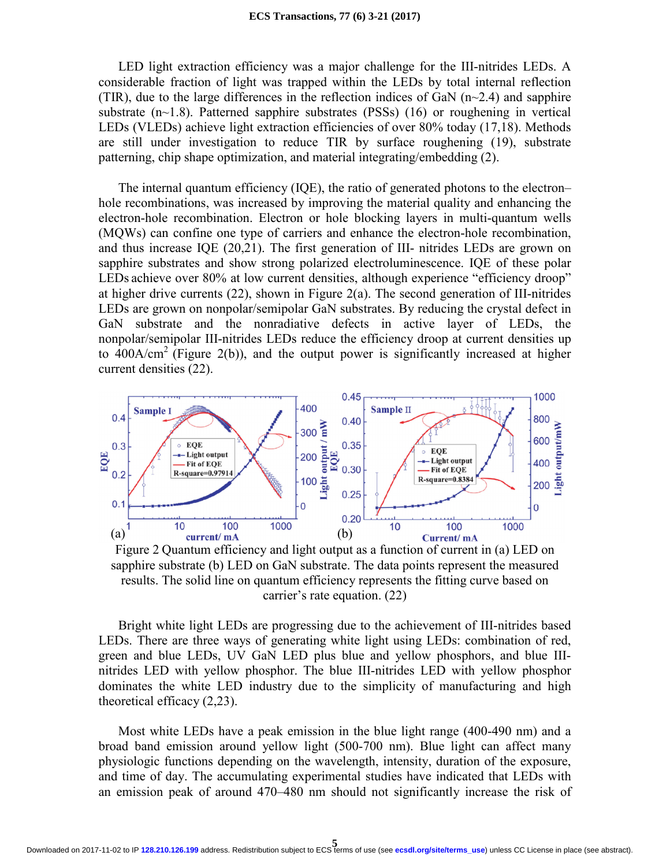LED light extraction efficiency was a major challenge for the III-nitrides LEDs. A considerable fraction of light was trapped within the LEDs by total internal reflection (TIR), due to the large differences in the reflection indices of GaN  $(n\sim 2.4)$  and sapphire substrate  $(n<sub>1</sub>, 8)$ . Patterned sapphire substrates (PSSs) (16) or roughening in vertical LEDs (VLEDs) achieve light extraction efficiencies of over 80% today (17,18). Methods are still under investigation to reduce TIR by surface roughening (19), substrate patterning, chip shape optimization, and material integrating/embedding (2).

The internal quantum efficiency (IQE), the ratio of generated photons to the electron– hole recombinations, was increased by improving the material quality and enhancing the electron-hole recombination. Electron or hole blocking layers in multi-quantum wells (MQWs) can confine one type of carriers and enhance the electron-hole recombination, and thus increase IQE (20,21). The first generation of III- nitrides LEDs are grown on sapphire substrates and show strong polarized electroluminescence. IQE of these polar LEDs achieve over 80% at low current densities, although experience "efficiency droop" at higher drive currents  $(22)$ , shown in Figure  $2(a)$ . The second generation of III-nitrides LEDs are grown on nonpolar/semipolar GaN substrates. By reducing the crystal defect in GaN substrate and the nonradiative defects in active layer of LEDs, the nonpolar/semipolar III-nitrides LEDs reduce the efficiency droop at current densities up to  $400A/cm<sup>2</sup>$  (Figure 2(b)), and the output power is significantly increased at higher current densities (22).



Figure 2 Quantum efficiency and light output as a function of current in (a) LED on sapphire substrate (b) LED on GaN substrate. The data points represent the measured results. The solid line on quantum efficiency represents the fitting curve based on carrier's rate equation. (22)

Bright white light LEDs are progressing due to the achievement of III-nitrides based LEDs. There are three ways of generating white light using LEDs: combination of red, green and blue LEDs, UV GaN LED plus blue and yellow phosphors, and blue IIInitrides LED with yellow phosphor. The blue III-nitrides LED with yellow phosphor dominates the white LED industry due to the simplicity of manufacturing and high theoretical efficacy (2,23).

Most white LEDs have a peak emission in the blue light range (400-490 nm) and a broad band emission around yellow light (500-700 nm). Blue light can affect many physiologic functions depending on the wavelength, intensity, duration of the exposure, and time of day. The accumulating experimental studies have indicated that LEDs with an emission peak of around 470–480 nm should not significantly increase the risk of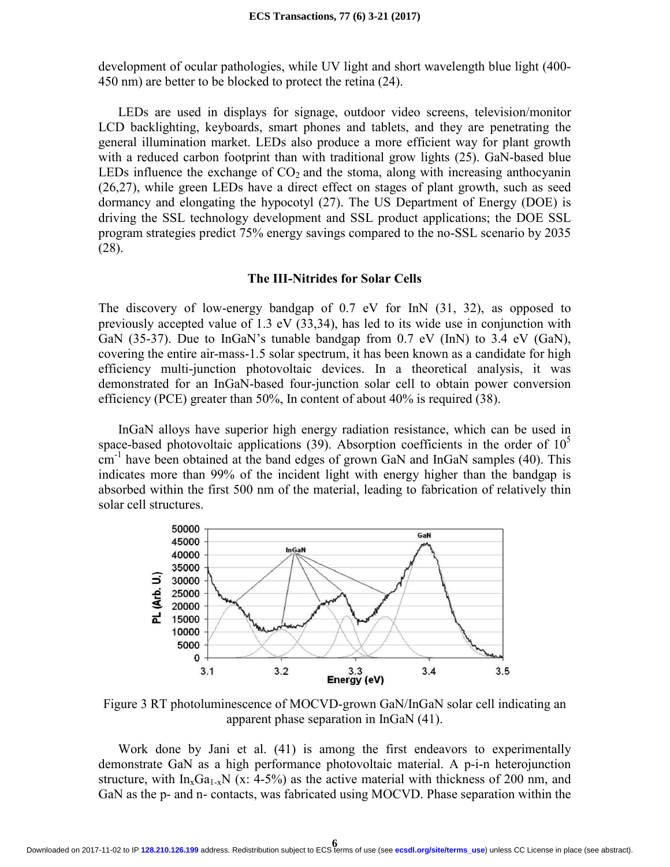development of ocular pathologies, while UV light and short wavelength blue light (400- 450 nm) are better to be blocked to protect the retina (24).

LEDs are used in displays for signage, outdoor video screens, television/monitor LCD backlighting, keyboards, smart phones and tablets, and they are penetrating the general illumination market. LEDs also produce a more efficient way for plant growth with a reduced carbon footprint than with traditional grow lights (25). GaN-based blue LEDs influence the exchange of  $CO<sub>2</sub>$  and the stoma, along with increasing anthocyanin (26,27), while green LEDs have a direct effect on stages of plant growth, such as seed dormancy and elongating the hypocotyl (27). The US Department of Energy (DOE) is driving the SSL technology development and SSL product applications; the DOE SSL program strategies predict 75% energy savings compared to the no-SSL scenario by 2035 (28).

#### **The III-Nitrides for Solar Cells**

The discovery of low-energy bandgap of 0.7 eV for InN (31, 32), as opposed to previously accepted value of 1.3 eV (33,34), has led to its wide use in conjunction with GaN (35-37). Due to InGaN's tunable bandgap from 0.7 eV (InN) to 3.4 eV (GaN), covering the entire air-mass-1.5 solar spectrum, it has been known as a candidate for high efficiency multi-junction photovoltaic devices. In a theoretical analysis, it was demonstrated for an InGaN-based four-junction solar cell to obtain power conversion efficiency (PCE) greater than 50%, In content of about 40% is required (38).

InGaN alloys have superior high energy radiation resistance, which can be used in space-based photovoltaic applications  $(39)$ . Absorption coefficients in the order of  $10<sup>5</sup>$  $cm<sup>-1</sup>$  have been obtained at the band edges of grown GaN and InGaN samples (40). This indicates more than 99% of the incident light with energy higher than the bandgap is absorbed within the first 500 nm of the material, leading to fabrication of relatively thin solar cell structures.



Figure 3 RT photoluminescence of MOCVD-grown GaN/InGaN solar cell indicating an apparent phase separation in InGaN (41).

Work done by Jani et al. (41) is among the first endeavors to experimentally demonstrate GaN as a high performance photovoltaic material. A p-i-n heterojunction structure, with In<sub>x</sub>Ga<sub>1-x</sub>N (x: 4-5%) as the active material with thickness of 200 nm, and GaN as the p- and n- contacts, was fabricated using MOCVD. Phase separation within the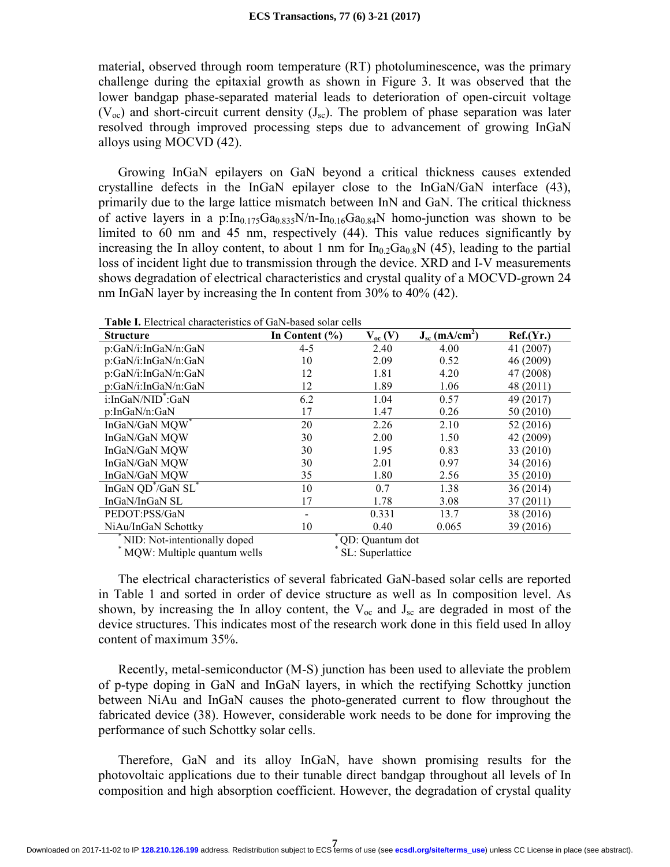material, observed through room temperature (RT) photoluminescence, was the primary challenge during the epitaxial growth as shown in Figure 3. It was observed that the lower bandgap phase-separated material leads to deterioration of open-circuit voltage  $(V<sub>oc</sub>)$  and short-circuit current density  $(J<sub>sc</sub>)$ . The problem of phase separation was later resolved through improved processing steps due to advancement of growing InGaN alloys using MOCVD (42).

Growing InGaN epilayers on GaN beyond a critical thickness causes extended crystalline defects in the InGaN epilayer close to the InGaN/GaN interface (43), primarily due to the large lattice mismatch between InN and GaN. The critical thickness of active layers in a  $p: In_{0.175}Ga_{0.835}N/n-In_{0.16}Ga_{0.84}N$  homo-junction was shown to be limited to 60 nm and 45 nm, respectively (44). This value reduces significantly by increasing the In alloy content, to about 1 nm for  $In_02Ga_0sN$  (45), leading to the partial loss of incident light due to transmission through the device. XRD and I-V measurements shows degradation of electrical characteristics and crystal quality of a MOCVD-grown 24 nm InGaN layer by increasing the In content from 30% to 40% (42).

| <b>Structure</b>                           | In Content $(\% )$ | $V_{oc}$ (V)     | $J_{sc}$ (mA/cm <sup>2</sup> ) | Ref.(Yr.) |  |
|--------------------------------------------|--------------------|------------------|--------------------------------|-----------|--|
| p:GaN/i:InGaN/n:GaN                        | $4 - 5$            | 2.40             | 4.00                           | 41 (2007) |  |
| p:GaN/i:InGaN/n:GaN                        | 10                 | 2.09             | 0.52                           | 46 (2009) |  |
| p:GaN/i:InGaN/n:GaN                        | 12                 | 1.81             | 4.20                           | 47 (2008) |  |
| p:GaN/i:InGaN/n:GaN                        | 12                 | 1.89             | 1.06                           | 48 (2011) |  |
| i:InGaN/NID*:GaN                           | 6.2                | 1.04             | 0.57                           | 49 (2017) |  |
| p:InGaN/n:GaN                              | 17                 | 1.47             | 0.26                           | 50 (2010) |  |
| InGaN/GaN MQW*                             | 20                 | 2.26             | 2.10                           | 52 (2016) |  |
| InGaN/GaN MQW                              | 30                 | 2.00             | 1.50                           | 42 (2009) |  |
| InGaN/GaN MQW                              | 30                 | 1.95             | 0.83                           | 33 (2010) |  |
| InGaN/GaN MQW                              | 30                 | 2.01             | 0.97                           | 34 (2016) |  |
| InGaN/GaN MQW                              | 35                 | 1.80             | 2.56                           | 35 (2010) |  |
| InGaN QD <sup>*</sup> /GaN SL <sup>*</sup> | 10                 | 0.7              | 1.38                           | 36 (2014) |  |
| InGaN/InGaN SL                             | 17                 | 1.78             | 3.08                           | 37 (2011) |  |
| PEDOT:PSS/GaN                              |                    | 0.331            | 13.7                           | 38 (2016) |  |
| NiAu/InGaN Schottky                        | 10                 | 0.40             | 0.065                          | 39 (2016) |  |
| NID: Not-intentionally doped               |                    | OD: Ouantum dot  |                                |           |  |
| MQW: Multiple quantum wells                |                    | SL: Superlattice |                                |           |  |

**Table I.** Electrical characteristics of GaN-based solar cells

The electrical characteristics of several fabricated GaN-based solar cells are reported in Table 1 and sorted in order of device structure as well as In composition level. As shown, by increasing the In alloy content, the  $V_{\text{oc}}$  and  $J_{\text{sc}}$  are degraded in most of the device structures. This indicates most of the research work done in this field used In alloy content of maximum 35%.

Recently, metal-semiconductor (M-S) junction has been used to alleviate the problem of p-type doping in GaN and InGaN layers, in which the rectifying Schottky junction between NiAu and InGaN causes the photo-generated current to flow throughout the fabricated device (38). However, considerable work needs to be done for improving the performance of such Schottky solar cells.

Therefore, GaN and its alloy InGaN, have shown promising results for the photovoltaic applications due to their tunable direct bandgap throughout all levels of In composition and high absorption coefficient. However, the degradation of crystal quality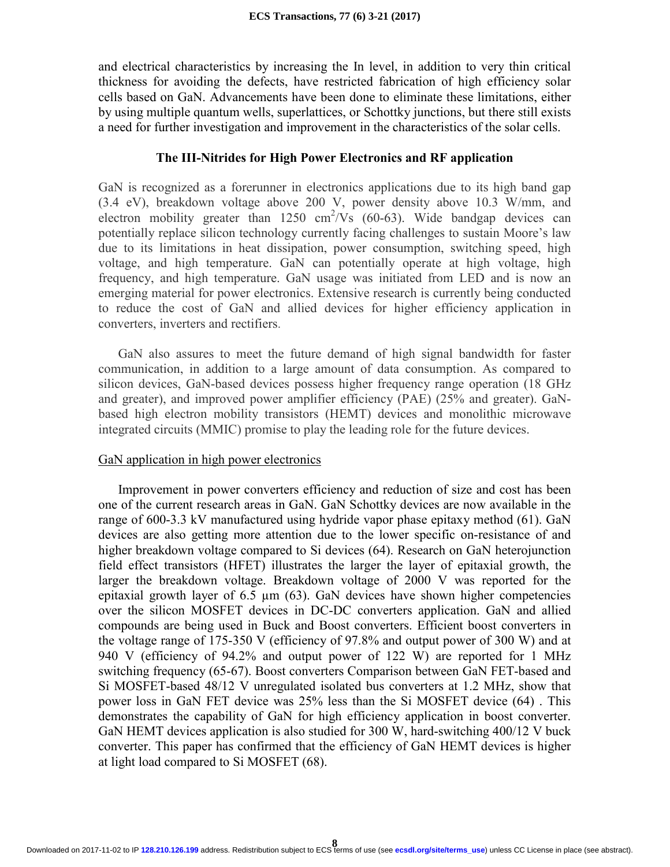and electrical characteristics by increasing the In level, in addition to very thin critical thickness for avoiding the defects, have restricted fabrication of high efficiency solar cells based on GaN. Advancements have been done to eliminate these limitations, either by using multiple quantum wells, superlattices, or Schottky junctions, but there still exists a need for further investigation and improvement in the characteristics of the solar cells.

## **The III-Nitrides for High Power Electronics and RF application**

GaN is recognized as a forerunner in electronics applications due to its high band gap (3.4 eV), breakdown voltage above 200 V, power density above 10.3 W/mm, and electron mobility greater than  $1250 \text{ cm}^2/\text{Vs}$  (60-63). Wide bandgap devices can potentially replace silicon technology currently facing challenges to sustain Moore's law due to its limitations in heat dissipation, power consumption, switching speed, high voltage, and high temperature. GaN can potentially operate at high voltage, high frequency, and high temperature. GaN usage was initiated from LED and is now an emerging material for power electronics. Extensive research is currently being conducted to reduce the cost of GaN and allied devices for higher efficiency application in converters, inverters and rectifiers.

GaN also assures to meet the future demand of high signal bandwidth for faster communication, in addition to a large amount of data consumption. As compared to silicon devices, GaN-based devices possess higher frequency range operation (18 GHz and greater), and improved power amplifier efficiency (PAE) (25% and greater). GaNbased high electron mobility transistors (HEMT) devices and monolithic microwave integrated circuits (MMIC) promise to play the leading role for the future devices.

### GaN application in high power electronics

Improvement in power converters efficiency and reduction of size and cost has been one of the current research areas in GaN. GaN Schottky devices are now available in the range of 600-3.3 kV manufactured using hydride vapor phase epitaxy method (61). GaN devices are also getting more attention due to the lower specific on-resistance of and higher breakdown voltage compared to Si devices (64). Research on GaN heterojunction field effect transistors (HFET) illustrates the larger the layer of epitaxial growth, the larger the breakdown voltage. Breakdown voltage of 2000 V was reported for the epitaxial growth layer of 6.5 µm (63). GaN devices have shown higher competencies over the silicon MOSFET devices in DC-DC converters application. GaN and allied compounds are being used in Buck and Boost converters. Efficient boost converters in the voltage range of 175-350 V (efficiency of 97.8% and output power of 300 W) and at 940 V (efficiency of 94.2% and output power of 122 W) are reported for 1 MHz switching frequency (65-67). Boost converters Comparison between GaN FET-based and Si MOSFET-based 48/12 V unregulated isolated bus converters at 1.2 MHz, show that power loss in GaN FET device was 25% less than the Si MOSFET device (64) . This demonstrates the capability of GaN for high efficiency application in boost converter. GaN HEMT devices application is also studied for 300 W, hard-switching 400/12 V buck converter. This paper has confirmed that the efficiency of GaN HEMT devices is higher at light load compared to Si MOSFET (68).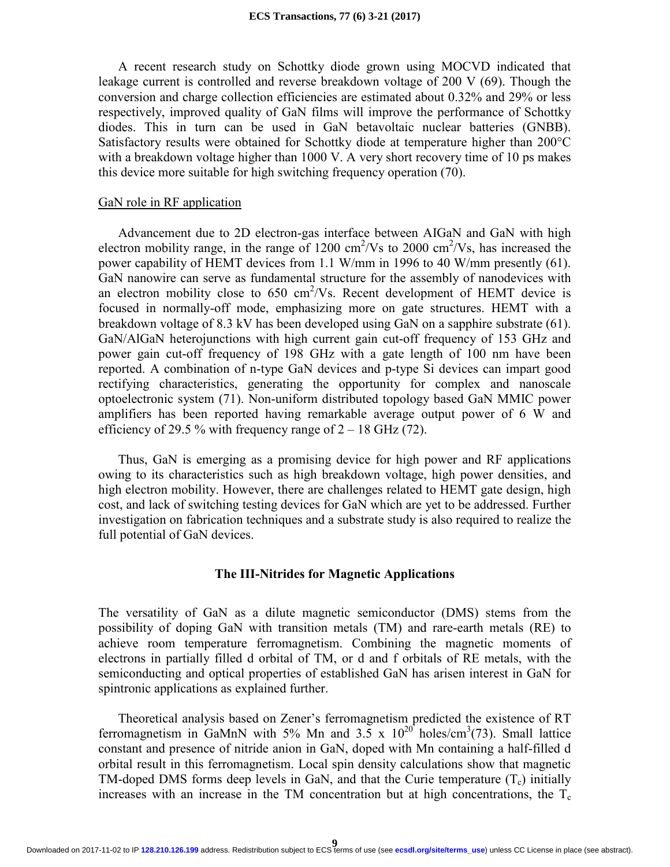A recent research study on Schottky diode grown using MOCVD indicated that leakage current is controlled and reverse breakdown voltage of 200 V (69). Though the conversion and charge collection efficiencies are estimated about 0.32% and 29% or less respectively, improved quality of GaN films will improve the performance of Schottky diodes. This in turn can be used in GaN betavoltaic nuclear batteries (GNBB). Satisfactory results were obtained for Schottky diode at temperature higher than 200°C with a breakdown voltage higher than 1000 V. A very short recovery time of 10 ps makes this device more suitable for high switching frequency operation (70).

#### GaN role in RF application

Advancement due to 2D electron-gas interface between AIGaN and GaN with high electron mobility range, in the range of  $1200 \text{ cm}^2/\text{Vs}$  to  $2000 \text{ cm}^2/\text{Vs}$ , has increased the power capability of HEMT devices from 1.1 W/mm in 1996 to 40 W/mm presently (61). GaN nanowire can serve as fundamental structure for the assembly of nanodevices with an electron mobility close to  $650 \text{ cm}^2/\text{Vs}$ . Recent development of HEMT device is focused in normally-off mode, emphasizing more on gate structures. HEMT with a breakdown voltage of 8.3 kV has been developed using GaN on a sapphire substrate (61). GaN/AlGaN heterojunctions with high current gain cut-off frequency of 153 GHz and power gain cut-off frequency of 198 GHz with a gate length of 100 nm have been reported. A combination of n-type GaN devices and p-type Si devices can impart good rectifying characteristics, generating the opportunity for complex and nanoscale optoelectronic system (71). Non-uniform distributed topology based GaN MMIC power amplifiers has been reported having remarkable average output power of 6 W and efficiency of 29.5 % with frequency range of  $2 - 18$  GHz (72).

Thus, GaN is emerging as a promising device for high power and RF applications owing to its characteristics such as high breakdown voltage, high power densities, and high electron mobility. However, there are challenges related to HEMT gate design, high cost, and lack of switching testing devices for GaN which are yet to be addressed. Further investigation on fabrication techniques and a substrate study is also required to realize the full potential of GaN devices.

#### **The III-Nitrides for Magnetic Applications**

The versatility of GaN as a dilute magnetic semiconductor (DMS) stems from the possibility of doping GaN with transition metals (TM) and rare-earth metals (RE) to achieve room temperature ferromagnetism. Combining the magnetic moments of electrons in partially filled d orbital of TM, or d and f orbitals of RE metals, with the semiconducting and optical properties of established GaN has arisen interest in GaN for spintronic applications as explained further.

Theoretical analysis based on Zener's ferromagnetism predicted the existence of RT ferromagnetism in GaMnN with 5% Mn and  $3.5 \times 10^{20}$  holes/cm<sup>3</sup>(73). Small lattice constant and presence of nitride anion in GaN, doped with Mn containing a half-filled d orbital result in this ferromagnetism. Local spin density calculations show that magnetic TM-doped DMS forms deep levels in GaN, and that the Curie temperature  $(T_c)$  initially increases with an increase in the TM concentration but at high concentrations, the  $T_c$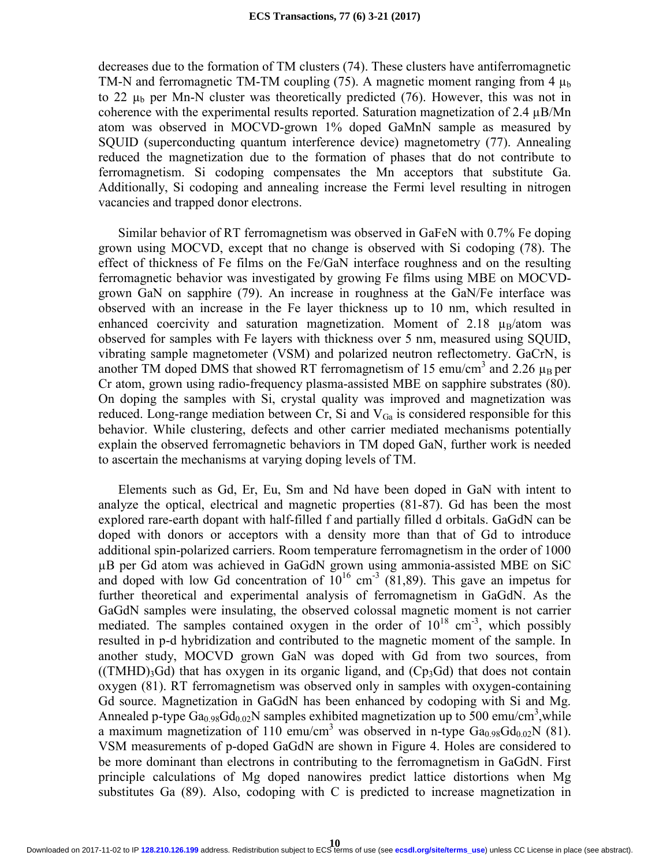decreases due to the formation of TM clusters (74). These clusters have antiferromagnetic TM-N and ferromagnetic TM-TM coupling (75). A magnetic moment ranging from 4  $\mu_b$ to 22  $\mu_b$  per Mn-N cluster was theoretically predicted (76). However, this was not in coherence with the experimental results reported. Saturation magnetization of 2.4 µB/Mn atom was observed in MOCVD-grown 1% doped GaMnN sample as measured by SQUID (superconducting quantum interference device) magnetometry (77). Annealing reduced the magnetization due to the formation of phases that do not contribute to ferromagnetism. Si codoping compensates the Mn acceptors that substitute Ga. Additionally, Si codoping and annealing increase the Fermi level resulting in nitrogen vacancies and trapped donor electrons.

Similar behavior of RT ferromagnetism was observed in GaFeN with 0.7% Fe doping grown using MOCVD, except that no change is observed with Si codoping (78). The effect of thickness of Fe films on the Fe/GaN interface roughness and on the resulting ferromagnetic behavior was investigated by growing Fe films using MBE on MOCVDgrown GaN on sapphire (79). An increase in roughness at the GaN/Fe interface was observed with an increase in the Fe layer thickness up to 10 nm, which resulted in enhanced coercivity and saturation magnetization. Moment of 2.18  $\mu_B$ /atom was observed for samples with Fe layers with thickness over 5 nm, measured using SQUID, vibrating sample magnetometer (VSM) and polarized neutron reflectometry. GaCrN, is another TM doped DMS that showed RT ferromagnetism of 15 emu/cm<sup>3</sup> and 2.26  $\mu_B$  per Cr atom, grown using radio-frequency plasma-assisted MBE on sapphire substrates (80). On doping the samples with Si, crystal quality was improved and magnetization was reduced. Long-range mediation between  $Cr$ , Si and  $V_{Ga}$  is considered responsible for this behavior. While clustering, defects and other carrier mediated mechanisms potentially explain the observed ferromagnetic behaviors in TM doped GaN, further work is needed to ascertain the mechanisms at varying doping levels of TM.

Elements such as Gd, Er, Eu, Sm and Nd have been doped in GaN with intent to analyze the optical, electrical and magnetic properties (81-87). Gd has been the most explored rare-earth dopant with half-filled f and partially filled d orbitals. GaGdN can be doped with donors or acceptors with a density more than that of Gd to introduce additional spin-polarized carriers. Room temperature ferromagnetism in the order of 1000 µB per Gd atom was achieved in GaGdN grown using ammonia-assisted MBE on SiC and doped with low Gd concentration of  $10^{16}$  cm<sup>-3</sup> (81,89). This gave an impetus for further theoretical and experimental analysis of ferromagnetism in GaGdN. As the GaGdN samples were insulating, the observed colossal magnetic moment is not carrier mediated. The samples contained oxygen in the order of  $10^{18}$  cm<sup>-3</sup>, which possibly resulted in p-d hybridization and contributed to the magnetic moment of the sample. In another study, MOCVD grown GaN was doped with Gd from two sources, from  $((TMHD)_3Gd)$  that has oxygen in its organic ligand, and  $(Cp_3Gd)$  that does not contain oxygen (81). RT ferromagnetism was observed only in samples with oxygen-containing Gd source. Magnetization in GaGdN has been enhanced by codoping with Si and Mg. Annealed p-type  $Ga<sub>0.98</sub>Gd<sub>0.02</sub>N$  samples exhibited magnetization up to 500 emu/cm<sup>3</sup>, while a maximum magnetization of 110 emu/cm<sup>3</sup> was observed in n-type  $Ga_{0.98}Gd_{0.02}N$  (81). VSM measurements of p-doped GaGdN are shown in Figure 4. Holes are considered to be more dominant than electrons in contributing to the ferromagnetism in GaGdN. First principle calculations of Mg doped nanowires predict lattice distortions when Mg substitutes Ga (89). Also, codoping with C is predicted to increase magnetization in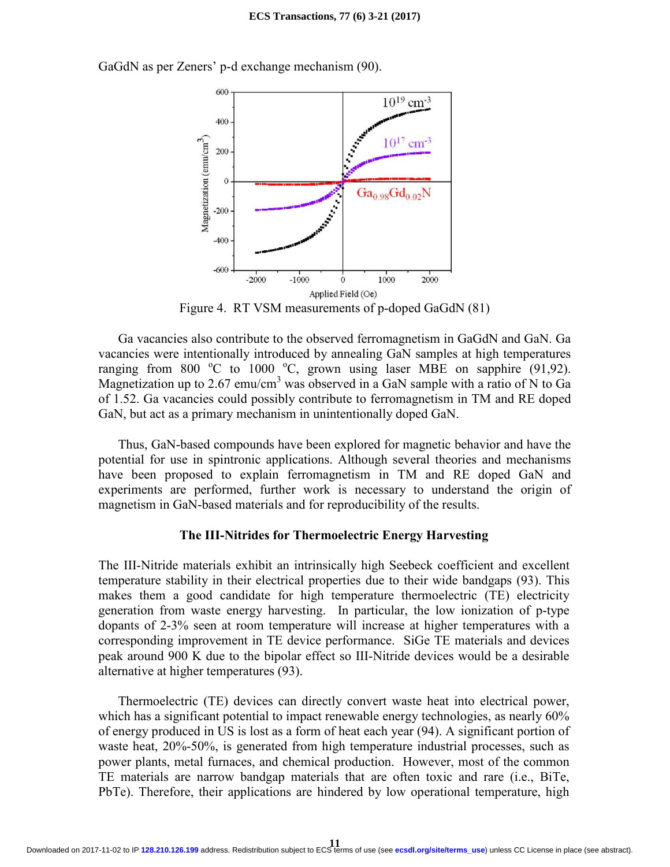GaGdN as per Zeners' p-d exchange mechanism (90).



Figure 4. RT VSM measurements of p-doped GaGdN (81)

Ga vacancies also contribute to the observed ferromagnetism in GaGdN and GaN. Ga vacancies were intentionally introduced by annealing GaN samples at high temperatures ranging from 800  $^{\circ}$ C to 1000  $^{\circ}$ C, grown using laser MBE on sapphire (91,92). Magnetization up to 2.67 emu/cm<sup>3</sup> was observed in a GaN sample with a ratio of N to Ga of 1.52. Ga vacancies could possibly contribute to ferromagnetism in TM and RE doped GaN, but act as a primary mechanism in unintentionally doped GaN.

Thus, GaN-based compounds have been explored for magnetic behavior and have the potential for use in spintronic applications. Although several theories and mechanisms have been proposed to explain ferromagnetism in TM and RE doped GaN and experiments are performed, further work is necessary to understand the origin of magnetism in GaN-based materials and for reproducibility of the results.

#### **The III-Nitrides for Thermoelectric Energy Harvesting**

The III-Nitride materials exhibit an intrinsically high Seebeck coefficient and excellent temperature stability in their electrical properties due to their wide bandgaps (93). This makes them a good candidate for high temperature thermoelectric (TE) electricity generation from waste energy harvesting. In particular, the low ionization of p-type dopants of 2-3% seen at room temperature will increase at higher temperatures with a corresponding improvement in TE device performance. SiGe TE materials and devices peak around 900 K due to the bipolar effect so III-Nitride devices would be a desirable alternative at higher temperatures (93).

Thermoelectric (TE) devices can directly convert waste heat into electrical power, which has a significant potential to impact renewable energy technologies, as nearly 60% of energy produced in US is lost as a form of heat each year (94). A significant portion of waste heat, 20%-50%, is generated from high temperature industrial processes, such as power plants, metal furnaces, and chemical production. However, most of the common TE materials are narrow bandgap materials that are often toxic and rare (i.e., BiTe, PbTe). Therefore, their applications are hindered by low operational temperature, high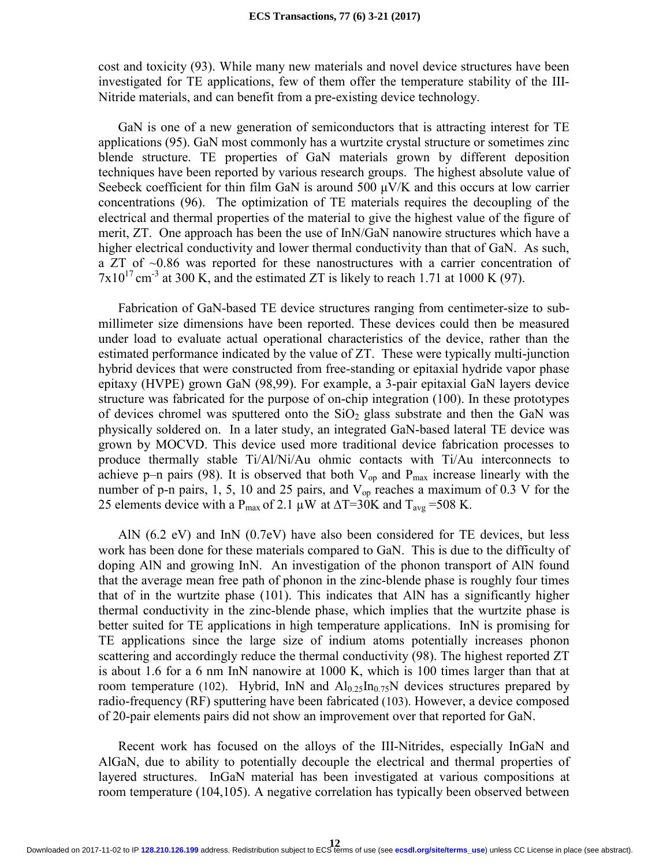cost and toxicity (93). While many new materials and novel device structures have been investigated for TE applications, few of them offer the temperature stability of the III-Nitride materials, and can benefit from a pre-existing device technology.

GaN is one of a new generation of semiconductors that is attracting interest for TE applications (95). GaN most commonly has a wurtzite crystal structure or sometimes zinc blende structure. TE properties of GaN materials grown by different deposition techniques have been reported by various research groups. The highest absolute value of Seebeck coefficient for thin film GaN is around  $500 \mu$ V/K and this occurs at low carrier concentrations (96). The optimization of TE materials requires the decoupling of the electrical and thermal properties of the material to give the highest value of the figure of merit, ZT. One approach has been the use of InN/GaN nanowire structures which have a higher electrical conductivity and lower thermal conductivity than that of GaN. As such, a ZT of ~0.86 was reported for these nanostructures with a carrier concentration of  $7x10^{17}$  cm<sup>-3</sup> at 300 K, and the estimated ZT is likely to reach 1.71 at 1000 K (97).

Fabrication of GaN-based TE device structures ranging from centimeter-size to submillimeter size dimensions have been reported. These devices could then be measured under load to evaluate actual operational characteristics of the device, rather than the estimated performance indicated by the value of ZT. These were typically multi-junction hybrid devices that were constructed from free-standing or epitaxial hydride vapor phase epitaxy (HVPE) grown GaN (98,99). For example, a 3-pair epitaxial GaN layers device structure was fabricated for the purpose of on-chip integration (100). In these prototypes of devices chromel was sputtered onto the  $SiO<sub>2</sub>$  glass substrate and then the GaN was physically soldered on. In a later study, an integrated GaN-based lateral TE device was grown by MOCVD. This device used more traditional device fabrication processes to produce thermally stable Ti/Al/Ni/Au ohmic contacts with Ti/Au interconnects to achieve p–n pairs (98). It is observed that both  $V_{op}$  and  $P_{max}$  increase linearly with the number of p-n pairs, 1, 5, 10 and 25 pairs, and  $V_{op}$  reaches a maximum of 0.3 V for the 25 elements device with a P<sub>max</sub> of 2.1 µW at  $\Delta T$ =30K and T<sub>avg</sub> =508 K.

AlN (6.2 eV) and InN (0.7eV) have also been considered for TE devices, but less work has been done for these materials compared to GaN. This is due to the difficulty of doping AlN and growing InN. An investigation of the phonon transport of AlN found that the average mean free path of phonon in the zinc-blende phase is roughly four times that of in the wurtzite phase (101). This indicates that AlN has a significantly higher thermal conductivity in the zinc-blende phase, which implies that the wurtzite phase is better suited for TE applications in high temperature applications. InN is promising for TE applications since the large size of indium atoms potentially increases phonon scattering and accordingly reduce the thermal conductivity (98). The highest reported ZT is about 1.6 for a 6 nm InN nanowire at 1000 K, which is 100 times larger than that at room temperature (102). Hybrid, InN and  $Al_{0.25}In_{0.75}N$  devices structures prepared by radio-frequency (RF) sputtering have been fabricated (103). However, a device composed of 20-pair elements pairs did not show an improvement over that reported for GaN.

Recent work has focused on the alloys of the III-Nitrides, especially InGaN and AlGaN, due to ability to potentially decouple the electrical and thermal properties of layered structures. InGaN material has been investigated at various compositions at room temperature (104,105). A negative correlation has typically been observed between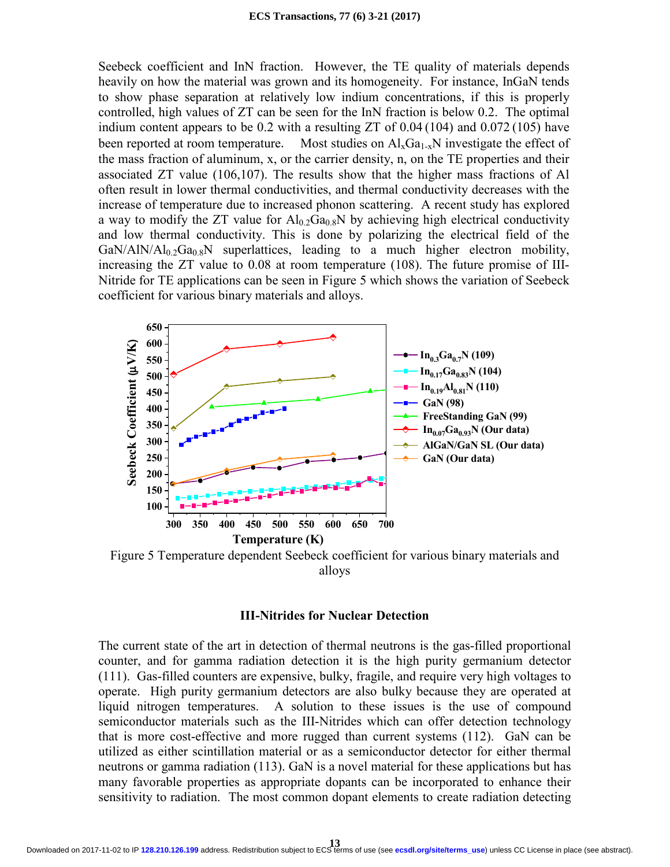Seebeck coefficient and InN fraction. However, the TE quality of materials depends heavily on how the material was grown and its homogeneity. For instance, InGaN tends to show phase separation at relatively low indium concentrations, if this is properly controlled, high values of ZT can be seen for the InN fraction is below 0.2. The optimal indium content appears to be 0.2 with a resulting ZT of 0.04 (104) and 0.072 (105) have been reported at room temperature. Most studies on  $\text{Al}_x\text{Ga}_{1-x}\text{N}$  investigate the effect of the mass fraction of aluminum, x, or the carrier density, n, on the TE properties and their associated ZT value (106,107). The results show that the higher mass fractions of Al often result in lower thermal conductivities, and thermal conductivity decreases with the increase of temperature due to increased phonon scattering. A recent study has explored a way to modify the ZT value for  $Al_0.2Ga_0.8N$  by achieving high electrical conductivity and low thermal conductivity. This is done by polarizing the electrical field of the  $GaN/AlN/Al<sub>0.2</sub>Ga<sub>0.8</sub>N$  superlattices, leading to a much higher electron mobility, increasing the ZT value to 0.08 at room temperature (108). The future promise of III-Nitride for TE applications can be seen in Figure 5 which shows the variation of Seebeck coefficient for various binary materials and alloys.



Figure 5 Temperature dependent Seebeck coefficient for various binary materials and alloys

#### **III-Nitrides for Nuclear Detection**

The current state of the art in detection of thermal neutrons is the gas-filled proportional counter, and for gamma radiation detection it is the high purity germanium detector (111). Gas-filled counters are expensive, bulky, fragile, and require very high voltages to operate. High purity germanium detectors are also bulky because they are operated at liquid nitrogen temperatures. A solution to these issues is the use of compound semiconductor materials such as the III-Nitrides which can offer detection technology that is more cost-effective and more rugged than current systems (112). GaN can be utilized as either scintillation material or as a semiconductor detector for either thermal neutrons or gamma radiation (113). GaN is a novel material for these applications but has many favorable properties as appropriate dopants can be incorporated to enhance their sensitivity to radiation. The most common dopant elements to create radiation detecting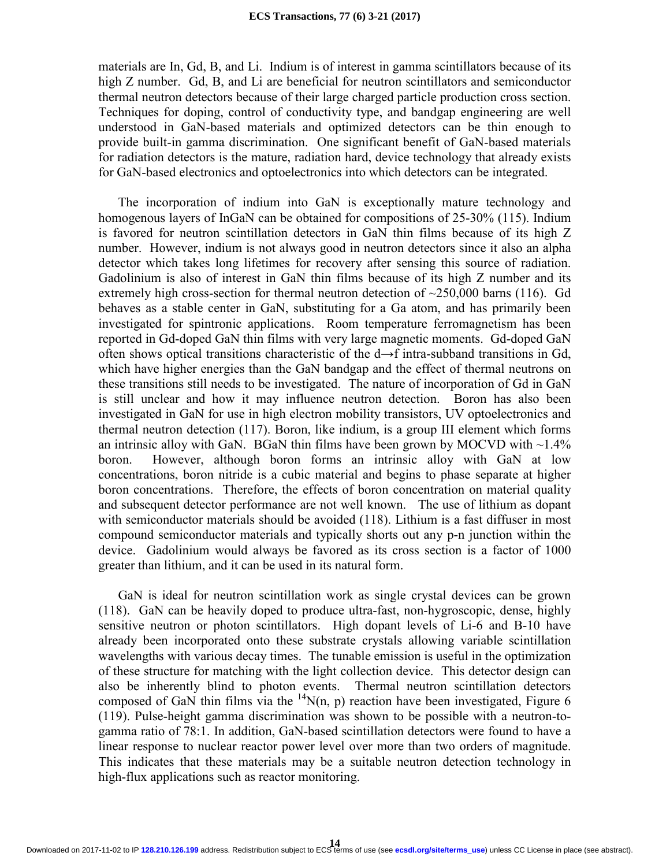materials are In, Gd, B, and Li. Indium is of interest in gamma scintillators because of its high Z number. Gd, B, and Li are beneficial for neutron scintillators and semiconductor thermal neutron detectors because of their large charged particle production cross section. Techniques for doping, control of conductivity type, and bandgap engineering are well understood in GaN-based materials and optimized detectors can be thin enough to provide built-in gamma discrimination. One significant benefit of GaN-based materials for radiation detectors is the mature, radiation hard, device technology that already exists for GaN-based electronics and optoelectronics into which detectors can be integrated.

The incorporation of indium into GaN is exceptionally mature technology and homogenous layers of InGaN can be obtained for compositions of 25-30% (115). Indium is favored for neutron scintillation detectors in GaN thin films because of its high Z number. However, indium is not always good in neutron detectors since it also an alpha detector which takes long lifetimes for recovery after sensing this source of radiation. Gadolinium is also of interest in GaN thin films because of its high Z number and its extremely high cross-section for thermal neutron detection of  $\sim$ 250,000 barns (116). Gd behaves as a stable center in GaN, substituting for a Ga atom, and has primarily been investigated for spintronic applications. Room temperature ferromagnetism has been reported in Gd-doped GaN thin films with very large magnetic moments. Gd-doped GaN often shows optical transitions characteristic of the  $d\rightarrow f$  intra-subband transitions in Gd, which have higher energies than the GaN bandgap and the effect of thermal neutrons on these transitions still needs to be investigated. The nature of incorporation of Gd in GaN is still unclear and how it may influence neutron detection. Boron has also been investigated in GaN for use in high electron mobility transistors, UV optoelectronics and thermal neutron detection (117). Boron, like indium, is a group III element which forms an intrinsic alloy with GaN. BGaN thin films have been grown by MOCVD with  $\sim$ 1.4% boron. However, although boron forms an intrinsic alloy with GaN at low concentrations, boron nitride is a cubic material and begins to phase separate at higher boron concentrations. Therefore, the effects of boron concentration on material quality and subsequent detector performance are not well known. The use of lithium as dopant with semiconductor materials should be avoided (118). Lithium is a fast diffuser in most compound semiconductor materials and typically shorts out any p-n junction within the device. Gadolinium would always be favored as its cross section is a factor of 1000 greater than lithium, and it can be used in its natural form.

GaN is ideal for neutron scintillation work as single crystal devices can be grown (118). GaN can be heavily doped to produce ultra-fast, non-hygroscopic, dense, highly sensitive neutron or photon scintillators. High dopant levels of Li-6 and B-10 have already been incorporated onto these substrate crystals allowing variable scintillation wavelengths with various decay times. The tunable emission is useful in the optimization of these structure for matching with the light collection device. This detector design can also be inherently blind to photon events. Thermal neutron scintillation detectors composed of GaN thin films via the  ${}^{14}N(n, p)$  reaction have been investigated, Figure 6 (119). Pulse-height gamma discrimination was shown to be possible with a neutron-togamma ratio of 78:1. In addition, GaN-based scintillation detectors were found to have a linear response to nuclear reactor power level over more than two orders of magnitude. This indicates that these materials may be a suitable neutron detection technology in high-flux applications such as reactor monitoring.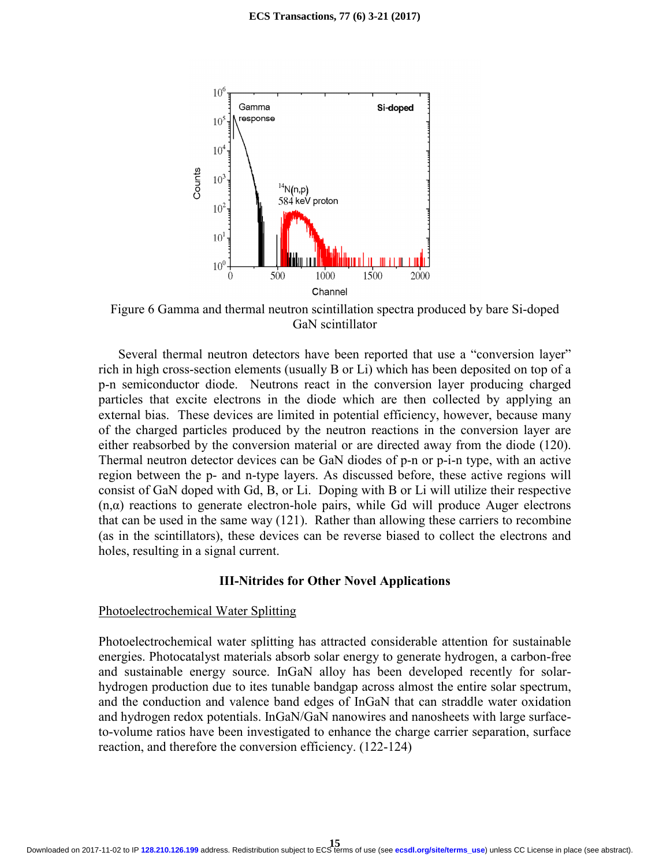

Figure 6 Gamma and thermal neutron scintillation spectra produced by bare Si-doped GaN scintillator

Several thermal neutron detectors have been reported that use a "conversion layer" rich in high cross-section elements (usually B or Li) which has been deposited on top of a p-n semiconductor diode. Neutrons react in the conversion layer producing charged particles that excite electrons in the diode which are then collected by applying an external bias. These devices are limited in potential efficiency, however, because many of the charged particles produced by the neutron reactions in the conversion layer are either reabsorbed by the conversion material or are directed away from the diode (120). Thermal neutron detector devices can be GaN diodes of p-n or p-i-n type, with an active region between the p- and n-type layers. As discussed before, these active regions will consist of GaN doped with Gd, B, or Li. Doping with B or Li will utilize their respective  $(n, \alpha)$  reactions to generate electron-hole pairs, while Gd will produce Auger electrons that can be used in the same way (121). Rather than allowing these carriers to recombine (as in the scintillators), these devices can be reverse biased to collect the electrons and holes, resulting in a signal current.

#### **III-Nitrides for Other Novel Applications**

#### Photoelectrochemical Water Splitting

Photoelectrochemical water splitting has attracted considerable attention for sustainable energies. Photocatalyst materials absorb solar energy to generate hydrogen, a carbon-free and sustainable energy source. InGaN alloy has been developed recently for solarhydrogen production due to ites tunable bandgap across almost the entire solar spectrum, and the conduction and valence band edges of InGaN that can straddle water oxidation and hydrogen redox potentials. InGaN/GaN nanowires and nanosheets with large surfaceto-volume ratios have been investigated to enhance the charge carrier separation, surface reaction, and therefore the conversion efficiency. (122-124)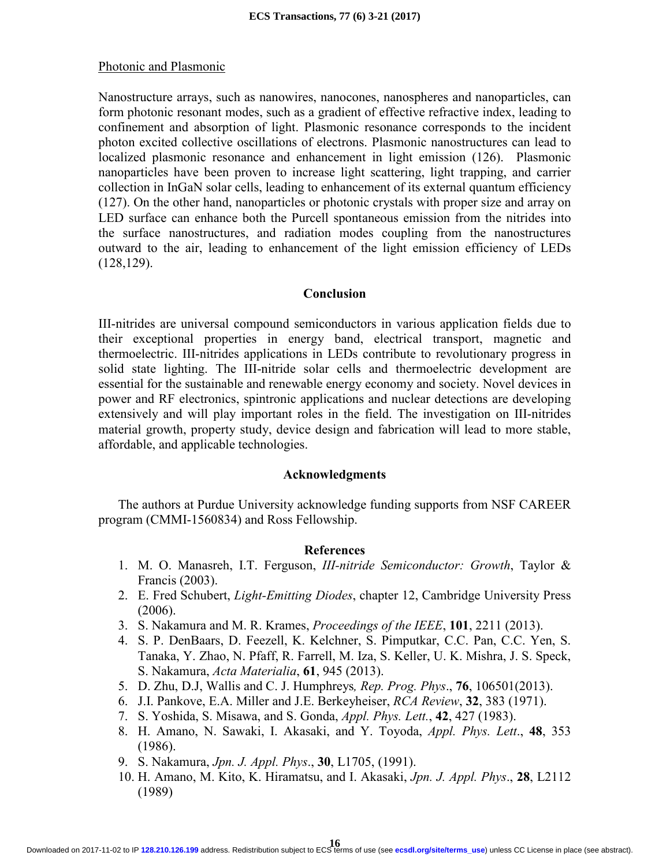### Photonic and Plasmonic

Nanostructure arrays, such as nanowires, nanocones, nanospheres and nanoparticles, can form photonic resonant modes, such as a gradient of effective refractive index, leading to confinement and absorption of light. Plasmonic resonance corresponds to the incident photon excited collective oscillations of electrons. Plasmonic nanostructures can lead to localized plasmonic resonance and enhancement in light emission (126). Plasmonic nanoparticles have been proven to increase light scattering, light trapping, and carrier collection in InGaN solar cells, leading to enhancement of its external quantum efficiency (127). On the other hand, nanoparticles or photonic crystals with proper size and array on LED surface can enhance both the Purcell spontaneous emission from the nitrides into the surface nanostructures, and radiation modes coupling from the nanostructures outward to the air, leading to enhancement of the light emission efficiency of LEDs (128,129).

#### **Conclusion**

III-nitrides are universal compound semiconductors in various application fields due to their exceptional properties in energy band, electrical transport, magnetic and thermoelectric. III-nitrides applications in LEDs contribute to revolutionary progress in solid state lighting. The III-nitride solar cells and thermoelectric development are essential for the sustainable and renewable energy economy and society. Novel devices in power and RF electronics, spintronic applications and nuclear detections are developing extensively and will play important roles in the field. The investigation on III-nitrides material growth, property study, device design and fabrication will lead to more stable, affordable, and applicable technologies.

### **Acknowledgments**

The authors at Purdue University acknowledge funding supports from NSF CAREER program (CMMI-1560834) and Ross Fellowship.

#### **References**

- 1. M. O. Manasreh, I.T. Ferguson, *III-nitride Semiconductor: Growth*, Taylor & Francis (2003).
- 2. E. Fred Schubert, *Light-Emitting Diodes*, chapter 12, Cambridge University Press (2006).
- 3. S. Nakamura and M. R. Krames, *Proceedings of the IEEE*, **101**, 2211 (2013).
- 4. S. P. DenBaars, D. Feezell, K. Kelchner, S. Pimputkar, C.C. Pan, C.C. Yen, S. Tanaka, Y. Zhao, N. Pfaff, R. Farrell, M. Iza, S. Keller, U. K. Mishra, J. S. Speck, S. Nakamura, *Acta Materialia*, **61**, 945 (2013).
- 5. D. Zhu, D.J, Wallis and C. J. Humphreys*, Rep. Prog. Phys*., **76**, 106501(2013).
- 6. J.I. Pankove, E.A. Miller and J.E. Berkeyheiser, *RCA Review*, **32**, 383 (1971).
- 7. S. Yoshida, S. Misawa, and S. Gonda, *Appl. Phys. Lett.*, **42**, 427 (1983).
- 8. H. Amano, N. Sawaki, I. Akasaki, and Y. Toyoda, *Appl. Phys. Lett*., **48**, 353 (1986).
- 9. S. Nakamura, *Jpn. J. Appl. Phys*., **30**, L1705, (1991).
- 10. H. Amano, M. Kito, K. Hiramatsu, and I. Akasaki, *Jpn. J. Appl. Phys*., **28**, L2112 (1989)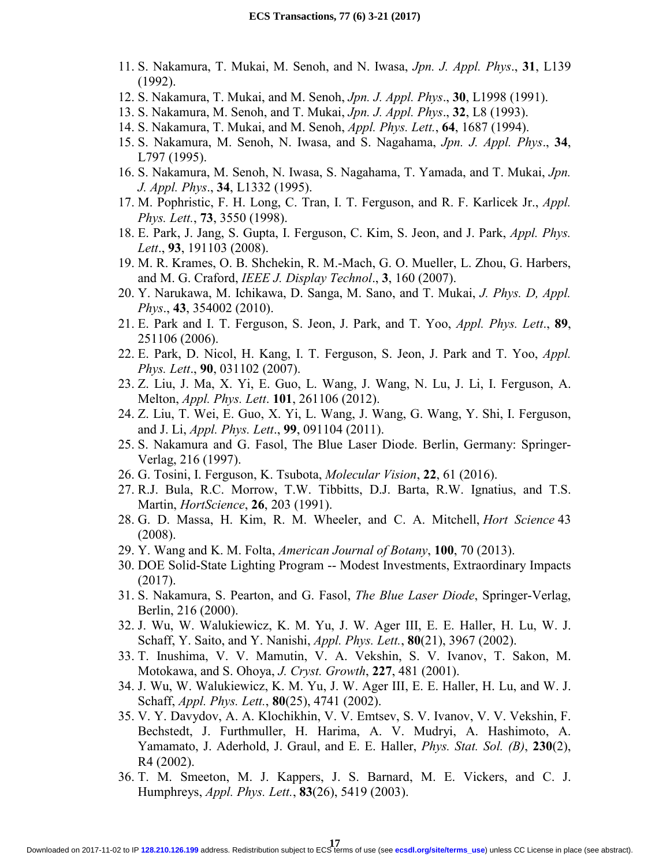- 11. S. Nakamura, T. Mukai, M. Senoh, and N. Iwasa, *Jpn. J. Appl. Phys*., **31**, L139 (1992).
- 12. S. Nakamura, T. Mukai, and M. Senoh, *Jpn. J. Appl. Phys*., **30**, L1998 (1991).
- 13. S. Nakamura, M. Senoh, and T. Mukai, *Jpn. J. Appl. Phys*., **32**, L8 (1993).
- 14. S. Nakamura, T. Mukai, and M. Senoh, *Appl. Phys. Lett.*, **64**, 1687 (1994).
- 15. S. Nakamura, M. Senoh, N. Iwasa, and S. Nagahama, *Jpn. J. Appl. Phys*., **34**, L797 (1995).
- 16. S. Nakamura, M. Senoh, N. Iwasa, S. Nagahama, T. Yamada, and T. Mukai, *Jpn. J. Appl. Phys*., **34**, L1332 (1995).
- 17. M. Pophristic, F. H. Long, C. Tran, I. T. Ferguson, and R. F. Karlicek Jr., *Appl. Phys. Lett.*, **73**, 3550 (1998).
- 18. E. Park, J. Jang, S. Gupta, I. Ferguson, C. Kim, S. Jeon, and J. Park, *Appl. Phys. Lett*., **93**, 191103 (2008).
- 19. M. R. Krames, O. B. Shchekin, R. M.-Mach, G. O. Mueller, L. Zhou, G. Harbers, and M. G. Craford, *IEEE J. Display Technol*., **3**, 160 (2007).
- 20. Y. Narukawa, M. Ichikawa, D. Sanga, M. Sano, and T. Mukai, *J. Phys. D, Appl. Phys*., **43**, 354002 (2010).
- 21. E. Park and I. T. Ferguson, S. Jeon, J. Park, and T. Yoo, *Appl. Phys. Lett*., **89**, 251106 (2006).
- 22. E. Park, D. Nicol, H. Kang, I. T. Ferguson, S. Jeon, J. Park and T. Yoo, *Appl. Phys. Lett*., **90**, 031102 (2007).
- 23. Z. Liu, J. Ma, X. Yi, E. Guo, L. Wang, J. Wang, N. Lu, J. Li, I. Ferguson, A. Melton, *Appl. Phys. Lett*. **101**, 261106 (2012).
- 24. Z. Liu, T. Wei, E. Guo, X. Yi, L. Wang, J. Wang, G. Wang, Y. Shi, I. Ferguson, and J. Li, *Appl. Phys. Lett*., **99**, 091104 (2011).
- 25. S. Nakamura and G. Fasol, The Blue Laser Diode. Berlin, Germany: Springer-Verlag, 216 (1997).
- 26. G. Tosini, I. Ferguson, K. Tsubota, *Molecular Vision*, **22**, 61 (2016).
- 27. R.J. Bula, R.C. Morrow, T.W. Tibbitts, D.J. Barta, R.W. Ignatius, and T.S. Martin, *HortScience*, **26**, 203 (1991).
- 28. G. D. Massa, H. Kim, R. M. Wheeler, and C. A. Mitchell, *Hort Science* 43 (2008).
- 29. Y. Wang and K. M. Folta, *American Journal of Botany*, **100**, 70 (2013).
- 30. DOE Solid-State Lighting Program -- Modest Investments, Extraordinary Impacts (2017).
- 31. S. Nakamura, S. Pearton, and G. Fasol, *The Blue Laser Diode*, Springer-Verlag, Berlin, 216 (2000).
- 32. J. Wu, W. Walukiewicz, K. M. Yu, J. W. Ager III, E. E. Haller, H. Lu, W. J. Schaff, Y. Saito, and Y. Nanishi, *Appl. Phys. Lett.*, **80**(21), 3967 (2002).
- 33. T. Inushima, V. V. Mamutin, V. A. Vekshin, S. V. Ivanov, T. Sakon, M. Motokawa, and S. Ohoya, *J. Cryst. Growth*, **227**, 481 (2001).
- 34. J. Wu, W. Walukiewicz, K. M. Yu, J. W. Ager III, E. E. Haller, H. Lu, and W. J. Schaff, *Appl. Phys. Lett.*, **80**(25), 4741 (2002).
- 35. V. Y. Davydov, A. A. Klochikhin, V. V. Emtsev, S. V. Ivanov, V. V. Vekshin, F. Bechstedt, J. Furthmuller, H. Harima, A. V. Mudryi, A. Hashimoto, A. Yamamato, J. Aderhold, J. Graul, and E. E. Haller, *Phys. Stat. Sol. (B)*, **230**(2), R4 (2002).
- 36. T. M. Smeeton, M. J. Kappers, J. S. Barnard, M. E. Vickers, and C. J. Humphreys, *Appl. Phys. Lett.*, **83**(26), 5419 (2003).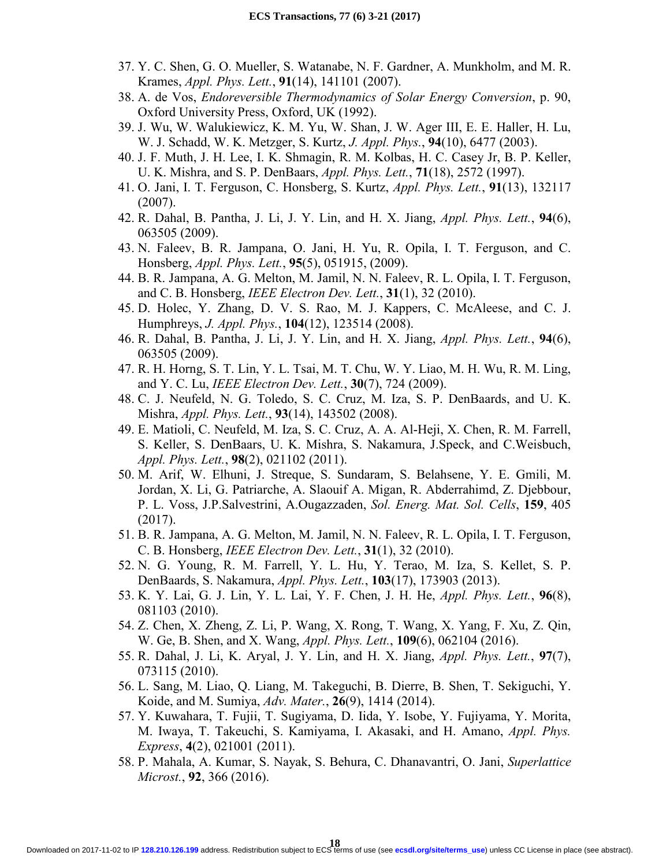- 37. Y. C. Shen, G. O. Mueller, S. Watanabe, N. F. Gardner, A. Munkholm, and M. R. Krames, *Appl. Phys. Lett.*, **91**(14), 141101 (2007).
- 38. A. de Vos, *Endoreversible Thermodynamics of Solar Energy Conversion*, p. 90, Oxford University Press, Oxford, UK (1992).
- 39. J. Wu, W. Walukiewicz, K. M. Yu, W. Shan, J. W. Ager III, E. E. Haller, H. Lu, W. J. Schadd, W. K. Metzger, S. Kurtz, *J. Appl. Phys.*, **94**(10), 6477 (2003).
- 40. J. F. Muth, J. H. Lee, I. K. Shmagin, R. M. Kolbas, H. C. Casey Jr, B. P. Keller, U. K. Mishra, and S. P. DenBaars, *Appl. Phys. Lett.*, **71**(18), 2572 (1997).
- 41. O. Jani, I. T. Ferguson, C. Honsberg, S. Kurtz, *Appl. Phys. Lett.*, **91**(13), 132117 (2007).
- 42. R. Dahal, B. Pantha, J. Li, J. Y. Lin, and H. X. Jiang, *Appl. Phys. Lett.*, **94**(6), 063505 (2009).
- 43. N. Faleev, B. R. Jampana, O. Jani, H. Yu, R. Opila, I. T. Ferguson, and C. Honsberg, *Appl. Phys. Lett.*, **95**(5), 051915, (2009).
- 44. B. R. Jampana, A. G. Melton, M. Jamil, N. N. Faleev, R. L. Opila, I. T. Ferguson, and C. B. Honsberg, *IEEE Electron Dev. Lett.*, **31**(1), 32 (2010).
- 45. D. Holec, Y. Zhang, D. V. S. Rao, M. J. Kappers, C. McAleese, and C. J. Humphreys, *J. Appl. Phys.*, **104**(12), 123514 (2008).
- 46. R. Dahal, B. Pantha, J. Li, J. Y. Lin, and H. X. Jiang, *Appl. Phys. Lett.*, **94**(6), 063505 (2009).
- 47. R. H. Horng, S. T. Lin, Y. L. Tsai, M. T. Chu, W. Y. Liao, M. H. Wu, R. M. Ling, and Y. C. Lu, *IEEE Electron Dev. Lett.*, **30**(7), 724 (2009).
- 48. C. J. Neufeld, N. G. Toledo, S. C. Cruz, M. Iza, S. P. DenBaards, and U. K. Mishra, *Appl. Phys. Lett.*, **93**(14), 143502 (2008).
- 49. E. Matioli, C. Neufeld, M. Iza, S. C. Cruz, A. A. Al-Heji, X. Chen, R. M. Farrell, S. Keller, S. DenBaars, U. K. Mishra, S. Nakamura, J.Speck, and C.Weisbuch, *Appl. Phys. Lett.*, **98**(2), 021102 (2011).
- 50. M. Arif, W. Elhuni, J. Streque, S. Sundaram, S. Belahsene, Y. E. Gmili, M. Jordan, X. Li, G. Patriarche, A. Slaouif A. Migan, R. Abderrahimd, Z. Djebbour, P. L. Voss, J.P.Salvestrini, A.Ougazzaden, *Sol. Energ. Mat. Sol. Cells*, **159**, 405 (2017).
- 51. B. R. Jampana, A. G. Melton, M. Jamil, N. N. Faleev, R. L. Opila, I. T. Ferguson, C. B. Honsberg, *IEEE Electron Dev. Lett.*, **31**(1), 32 (2010).
- 52. N. G. Young, R. M. Farrell, Y. L. Hu, Y. Terao, M. Iza, S. Kellet, S. P. DenBaards, S. Nakamura, *Appl. Phys. Lett.*, **103**(17), 173903 (2013).
- 53. K. Y. Lai, G. J. Lin, Y. L. Lai, Y. F. Chen, J. H. He, *Appl. Phys. Lett.*, **96**(8), 081103 (2010).
- 54. Z. Chen, X. Zheng, Z. Li, P. Wang, X. Rong, T. Wang, X. Yang, F. Xu, Z. Qin, W. Ge, B. Shen, and X. Wang, *Appl. Phys. Lett.*, **109**(6), 062104 (2016).
- 55. R. Dahal, J. Li, K. Aryal, J. Y. Lin, and H. X. Jiang, *Appl. Phys. Lett.*, **97**(7), 073115 (2010).
- 56. L. Sang, M. Liao, Q. Liang, M. Takeguchi, B. Dierre, B. Shen, T. Sekiguchi, Y. Koide, and M. Sumiya, *Adv. Mater.*, **26**(9), 1414 (2014).
- 57. Y. Kuwahara, T. Fujii, T. Sugiyama, D. Iida, Y. Isobe, Y. Fujiyama, Y. Morita, M. Iwaya, T. Takeuchi, S. Kamiyama, I. Akasaki, and H. Amano, *Appl. Phys. Express*, **4**(2), 021001 (2011).
- 58. P. Mahala, A. Kumar, S. Nayak, S. Behura, C. Dhanavantri, O. Jani, *Superlattice Microst.*, **92**, 366 (2016).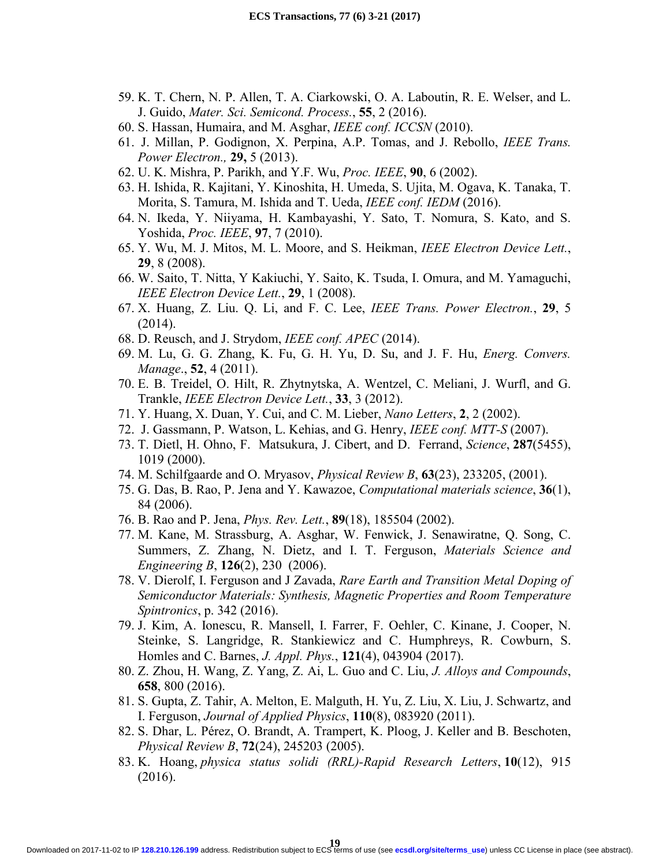- 59. K. T. Chern, N. P. Allen, T. A. Ciarkowski, O. A. Laboutin, R. E. Welser, and L. J. Guido, *Mater. Sci. Semicond. Process.*, **55**, 2 (2016).
- 60. S. Hassan, Humaira, and M. Asghar, *IEEE conf. ICCSN* (2010).
- 61. J. Millan, P. Godignon, X. Perpina, A.P. Tomas, and J. Rebollo, *IEEE Trans. Power Electron.,* **29,** 5 (2013).
- 62. U. K. Mishra, P. Parikh, and Y.F. Wu, *Proc. IEEE*, **90**, 6 (2002).
- 63. H. Ishida, R. Kajitani, Y. Kinoshita, H. Umeda, S. Ujita, M. Ogava, K. Tanaka, T. Morita, S. Tamura, M. Ishida and T. Ueda, *IEEE conf. IEDM* (2016).
- 64. N. Ikeda, Y. Niiyama, H. Kambayashi, Y. Sato, T. Nomura, S. Kato, and S. Yoshida, *Proc. IEEE*, **97**, 7 (2010).
- 65. Y. Wu, M. J. Mitos, M. L. Moore, and S. Heikman, *IEEE Electron Device Lett.*, **29**, 8 (2008).
- 66. W. Saito, T. Nitta, Y Kakiuchi, Y. Saito, K. Tsuda, I. Omura, and M. Yamaguchi, *IEEE Electron Device Lett.*, **29**, 1 (2008).
- 67. X. Huang, Z. Liu. Q. Li, and F. C. Lee, *IEEE Trans. Power Electron.*, **29**, 5 (2014).
- 68. D. Reusch, and J. Strydom, *IEEE conf. APEC* (2014).
- 69. M. Lu, G. G. Zhang, K. Fu, G. H. Yu, D. Su, and J. F. Hu, *Energ. Convers. Manage*., **52**, 4 (2011).
- 70. E. B. Treidel, O. Hilt, R. Zhytnytska, A. Wentzel, C. Meliani, J. Wurfl, and G. Trankle, *IEEE Electron Device Lett.*, **33**, 3 (2012).
- 71. Y. Huang, X. Duan, Y. Cui, and C. M. Lieber, *Nano Letters*, **2**, 2 (2002).
- 72. J. Gassmann, P. Watson, L. Kehias, and G. Henry, *IEEE conf. MTT-S* (2007).
- 73. T. Dietl, H. Ohno, F. Matsukura, J. Cibert, and D. Ferrand, *Science*, **287**(5455), 1019 (2000).
- 74. M. Schilfgaarde and O. Mryasov, *Physical Review B*, **63**(23), 233205, (2001).
- 75. G. Das, B. Rao, P. Jena and Y. Kawazoe, *Computational materials science*, **36**(1), 84 (2006).
- 76. B. Rao and P. Jena, *Phys. Rev. Lett.*, **89**(18), 185504 (2002).
- 77. M. Kane, M. Strassburg, A. Asghar, W. Fenwick, J. Senawiratne, Q. Song, C. Summers, Z. Zhang, N. Dietz, and I. T. Ferguson, *Materials Science and Engineering B*, **126**(2), 230 (2006).
- 78. V. Dierolf, I. Ferguson and J Zavada, *Rare Earth and Transition Metal Doping of Semiconductor Materials: Synthesis, Magnetic Properties and Room Temperature Spintronics*, p. 342 (2016).
- 79. J. Kim, A. Ionescu, R. Mansell, I. Farrer, F. Oehler, C. Kinane, J. Cooper, N. Steinke, S. Langridge, R. Stankiewicz and C. Humphreys, R. Cowburn, S. Homles and C. Barnes, *J. Appl. Phys.*, **121**(4), 043904 (2017).
- 80. Z. Zhou, H. Wang, Z. Yang, Z. Ai, L. Guo and C. Liu, *J. Alloys and Compounds*, **658**, 800 (2016).
- 81. S. Gupta, Z. Tahir, A. Melton, E. Malguth, H. Yu, Z. Liu, X. Liu, J. Schwartz, and I. Ferguson, *Journal of Applied Physics*, **110**(8), 083920 (2011).
- 82. S. Dhar, L. Pérez, O. Brandt, A. Trampert, K. Ploog, J. Keller and B. Beschoten, *Physical Review B*, **72**(24), 245203 (2005).
- 83. K. Hoang, *physica status solidi (RRL)-Rapid Research Letters*, **10**(12), 915 (2016).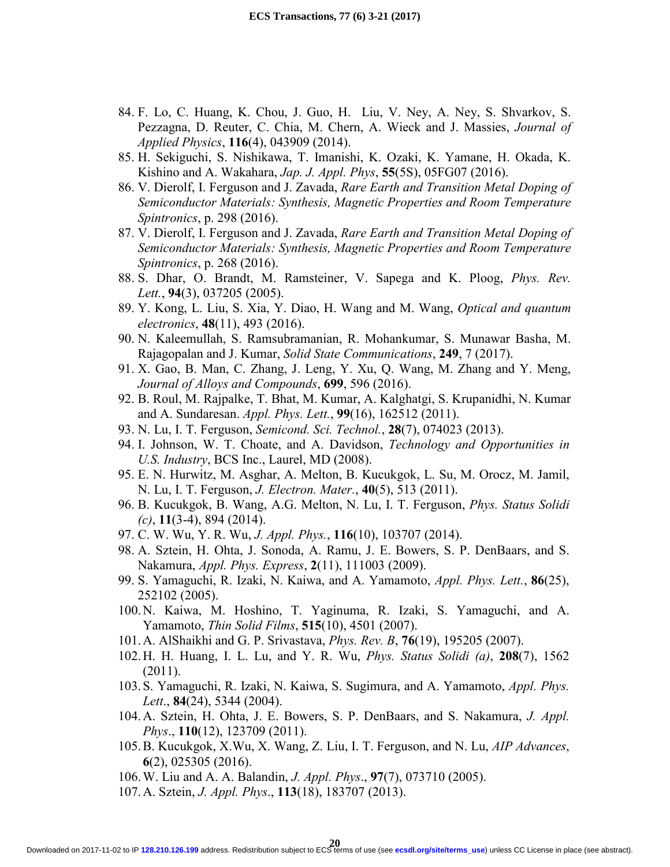- 84. F. Lo, C. Huang, K. Chou, J. Guo, H. Liu, V. Ney, A. Ney, S. Shvarkov, S. Pezzagna, D. Reuter, C. Chia, M. Chern, A. Wieck and J. Massies, *Journal of Applied Physics*, **116**(4), 043909 (2014).
- 85. H. Sekiguchi, S. Nishikawa, T. Imanishi, K. Ozaki, K. Yamane, H. Okada, K. Kishino and A. Wakahara, *Jap. J. Appl. Phys*, **55**(5S), 05FG07 (2016).
- 86. V. Dierolf, I. Ferguson and J. Zavada, *Rare Earth and Transition Metal Doping of Semiconductor Materials: Synthesis, Magnetic Properties and Room Temperature Spintronics*, p. 298 (2016).
- 87. V. Dierolf, I. Ferguson and J. Zavada, *Rare Earth and Transition Metal Doping of Semiconductor Materials: Synthesis, Magnetic Properties and Room Temperature Spintronics*, p. 268 (2016).
- 88. S. Dhar, O. Brandt, M. Ramsteiner, V. Sapega and K. Ploog, *Phys. Rev. Lett.*, **94**(3), 037205 (2005).
- 89. Y. Kong, L. Liu, S. Xia, Y. Diao, H. Wang and M. Wang, *Optical and quantum electronics*, **48**(11), 493 (2016).
- 90. N. Kaleemullah, S. Ramsubramanian, R. Mohankumar, S. Munawar Basha, M. Rajagopalan and J. Kumar, *Solid State Communications*, **249**, 7 (2017).
- 91. X. Gao, B. Man, C. Zhang, J. Leng, Y. Xu, Q. Wang, M. Zhang and Y. Meng, *Journal of Alloys and Compounds*, **699**, 596 (2016).
- 92. B. Roul, M. Rajpalke, T. Bhat, M. Kumar, A. Kalghatgi, S. Krupanidhi, N. Kumar and A. Sundaresan. *Appl. Phys. Lett.*, **99**(16), 162512 (2011).
- 93. N. Lu, I. T. Ferguson, *Semicond. Sci. Technol.*, **28**(7), 074023 (2013).
- 94. I. Johnson, W. T. Choate, and A. Davidson, *Technology and Opportunities in U.S. Industry*, BCS Inc., Laurel, MD (2008).
- 95. E. N. Hurwitz, M. Asghar, A. Melton, B. Kucukgok, L. Su, M. Orocz, M. Jamil, N. Lu, I. T. Ferguson, *J. Electron. Mater.*, **40**(5), 513 (2011).
- 96. B. Kucukgok, B. Wang, A.G. Melton, N. Lu, I. T. Ferguson, *Phys. Status Solidi (c)*, **11**(3-4), 894 (2014).
- 97. C. W. Wu, Y. R. Wu, *J. Appl. Phys.*, **116**(10), 103707 (2014).
- 98. A. Sztein, H. Ohta, J. Sonoda, A. Ramu, J. E. Bowers, S. P. DenBaars, and S. Nakamura, *Appl. Phys. Express*, **2**(11), 111003 (2009).
- 99. S. Yamaguchi, R. Izaki, N. Kaiwa, and A. Yamamoto, *Appl. Phys. Lett.*, **86**(25), 252102 (2005).
- 100.N. Kaiwa, M. Hoshino, T. Yaginuma, R. Izaki, S. Yamaguchi, and A. Yamamoto, *Thin Solid Films*, **515**(10), 4501 (2007).
- 101.A. AlShaikhi and G. P. Srivastava, *Phys. Rev. B*, **76**(19), 195205 (2007).
- 102.H. H. Huang, I. L. Lu, and Y. R. Wu, *Phys. Status Solidi (a)*, **208**(7), 1562 (2011).
- 103.S. Yamaguchi, R. Izaki, N. Kaiwa, S. Sugimura, and A. Yamamoto, *Appl. Phys. Lett*., **84**(24), 5344 (2004).
- 104.A. Sztein, H. Ohta, J. E. Bowers, S. P. DenBaars, and S. Nakamura, *J. Appl. Phys*., **110**(12), 123709 (2011).
- 105.B. Kucukgok, X.Wu, X. Wang, Z. Liu, I. T. Ferguson, and N. Lu, *AIP Advances*, **6**(2), 025305 (2016).
- 106.W. Liu and A. A. Balandin, *J. Appl. Phys*., **97**(7), 073710 (2005).
- 107.A. Sztein, *J. Appl. Phys*., **113**(18), 183707 (2013).